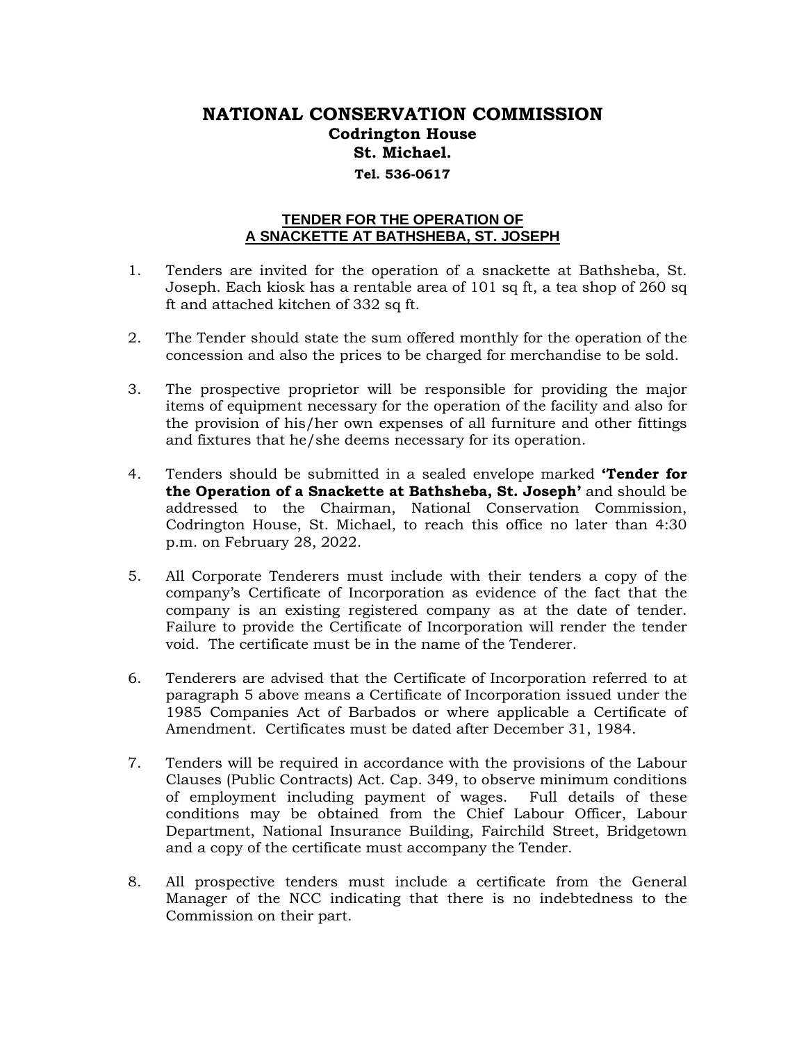## **NATIONAL CONSERVATION COMMISSION Codrington House St. Michael. Tel. 536-0617**

## **TENDER FOR THE OPERATION OF A SNACKETTE AT BATHSHEBA, ST. JOSEPH**

- 1. Tenders are invited for the operation of a snackette at Bathsheba, St. Joseph. Each kiosk has a rentable area of 101 sq ft, a tea shop of 260 sq ft and attached kitchen of 332 sq ft.
- 2. The Tender should state the sum offered monthly for the operation of the concession and also the prices to be charged for merchandise to be sold.
- 3. The prospective proprietor will be responsible for providing the major items of equipment necessary for the operation of the facility and also for the provision of his/her own expenses of all furniture and other fittings and fixtures that he/she deems necessary for its operation.
- 4. Tenders should be submitted in a sealed envelope marked **'Tender for the Operation of a Snackette at Bathsheba, St. Joseph'** and should be addressed to the Chairman, National Conservation Commission, Codrington House, St. Michael, to reach this office no later than 4:30 p.m. on February 28, 2022.
- 5. All Corporate Tenderers must include with their tenders a copy of the company's Certificate of Incorporation as evidence of the fact that the company is an existing registered company as at the date of tender. Failure to provide the Certificate of Incorporation will render the tender void. The certificate must be in the name of the Tenderer.
- 6. Tenderers are advised that the Certificate of Incorporation referred to at paragraph 5 above means a Certificate of Incorporation issued under the 1985 Companies Act of Barbados or where applicable a Certificate of Amendment. Certificates must be dated after December 31, 1984.
- 7. Tenders will be required in accordance with the provisions of the Labour Clauses (Public Contracts) Act. Cap. 349, to observe minimum conditions of employment including payment of wages. Full details of these conditions may be obtained from the Chief Labour Officer, Labour Department, National Insurance Building, Fairchild Street, Bridgetown and a copy of the certificate must accompany the Tender.
- 8. All prospective tenders must include a certificate from the General Manager of the NCC indicating that there is no indebtedness to the Commission on their part.